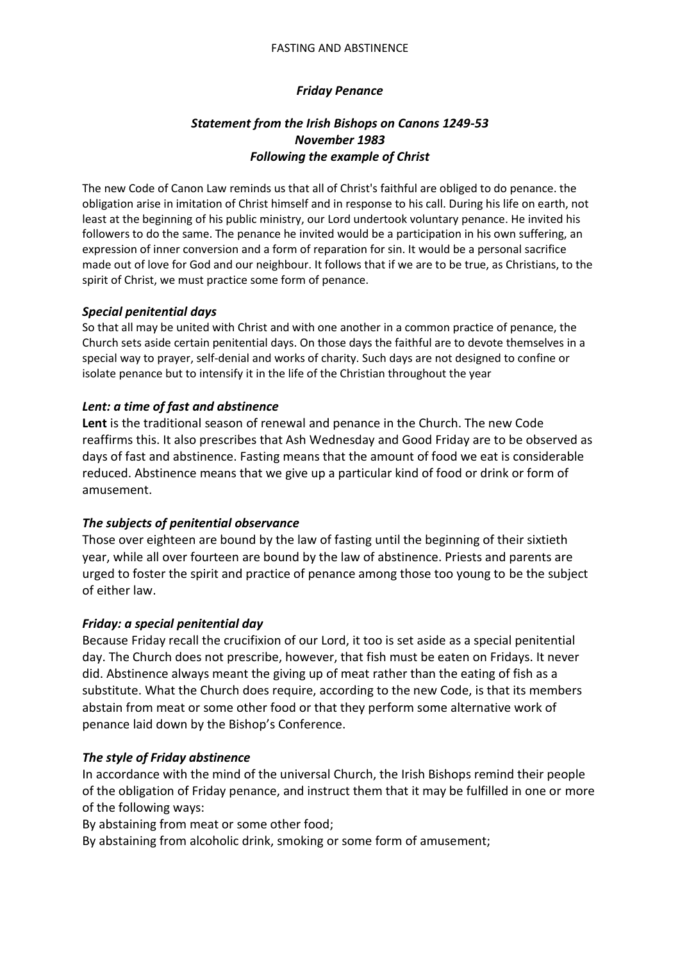#### FASTING AND ABSTINENCE

### *Friday Penance*

## *Statement from the Irish Bishops on Canons 1249-53 November 1983 Following the example of Christ*

The new Code of Canon Law reminds us that all of Christ's faithful are obliged to do penance. the obligation arise in imitation of Christ himself and in response to his call. During his life on earth, not least at the beginning of his public ministry, our Lord undertook voluntary penance. He invited his followers to do the same. The penance he invited would be a participation in his own suffering, an expression of inner conversion and a form of reparation for sin. It would be a personal sacrifice made out of love for God and our neighbour. It follows that if we are to be true, as Christians, to the spirit of Christ, we must practice some form of penance.

### *Special penitential days*

So that all may be united with Christ and with one another in a common practice of penance, the Church sets aside certain penitential days. On those days the faithful are to devote themselves in a special way to prayer, self-denial and works of charity. Such days are not designed to confine or isolate penance but to intensify it in the life of the Christian throughout the year

### *Lent: a time of fast and abstinence*

**Lent** is the traditional season of renewal and penance in the Church. The new Code reaffirms this. It also prescribes that Ash Wednesday and Good Friday are to be observed as days of fast and abstinence. Fasting means that the amount of food we eat is considerable reduced. Abstinence means that we give up a particular kind of food or drink or form of amusement.

### *The subjects of penitential observance*

Those over eighteen are bound by the law of fasting until the beginning of their sixtieth year, while all over fourteen are bound by the law of abstinence. Priests and parents are urged to foster the spirit and practice of penance among those too young to be the subject of either law.

#### *Friday: a special penitential day*

Because Friday recall the crucifixion of our Lord, it too is set aside as a special penitential day. The Church does not prescribe, however, that fish must be eaten on Fridays. It never did. Abstinence always meant the giving up of meat rather than the eating of fish as a substitute. What the Church does require, according to the new Code, is that its members abstain from meat or some other food or that they perform some alternative work of penance laid down by the Bishop's Conference.

#### *The style of Friday abstinence*

In accordance with the mind of the universal Church, the Irish Bishops remind their people of the obligation of Friday penance, and instruct them that it may be fulfilled in one or more of the following ways:

By abstaining from meat or some other food;

By abstaining from alcoholic drink, smoking or some form of amusement;